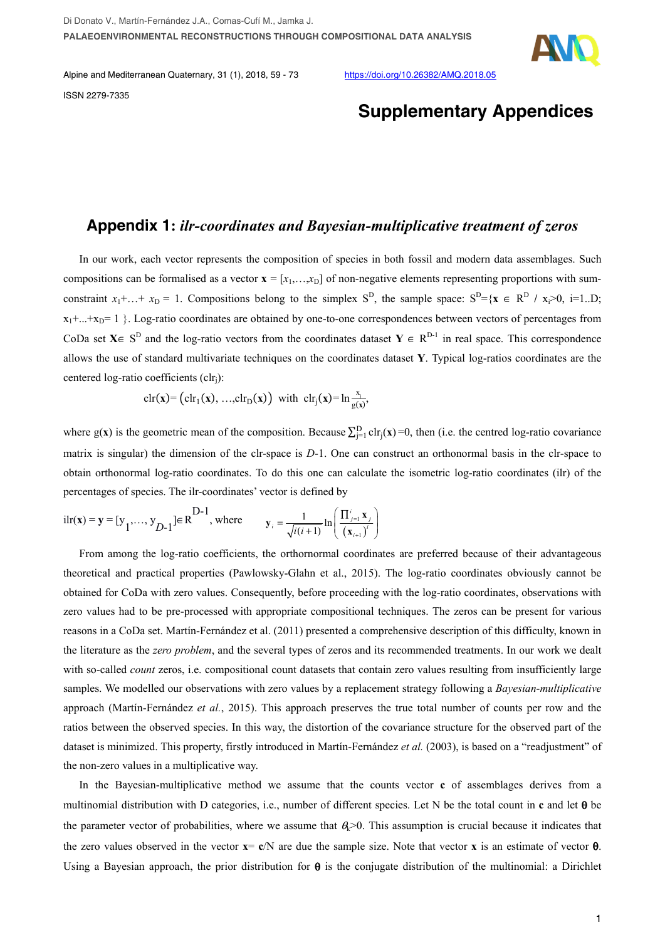

Alpine and Mediterranean Quaternary, 31 (1), 2018, 59 - 73 https://doi.org/10.26382/AMQ.2018.05 ISSN 2279-7335

## **Supplementary Appendices**

### **Appendix 1:** *ilr-coordinates and Bayesian-multiplicative treatment of zeros*

In our work, each vector represents the composition of species in both fossil and modern data assemblages. Such compositions can be formalised as a vector  $\mathbf{x} = [x_1, \ldots, x_D]$  of non-negative elements representing proportions with sumconstraint  $x_1 + ... + x_D = 1$ . Compositions belong to the simplex S<sup>D</sup>, the sample space:  $S^D = \{x \in R^D / x_i > 0, i=1..D\}$ ;  $x_1 + ... + x_p = 1$  }. Log-ratio coordinates are obtained by one-to-one correspondences between vectors of percentages from CoDa set **X**∈ S<sup>D</sup> and the log-ratio vectors from the coordinates dataset **Y** ∈ R<sup>D-1</sup> in real space. This correspondence allows the use of standard multivariate techniques on the coordinates dataset **Y**. Typical log-ratios coordinates are the centered log-ratio coefficients (clrj):

$$
\operatorname{clr}(x) = \left(\operatorname{clr}_1(x), \ldots, \operatorname{clr}_D(x)\right) \text{ with } \operatorname{clr}_j(x) = \ln \frac{x_j}{g(x)},
$$

where  $g(x)$  is the geometric mean of the composition. Because  $\sum_{j=1}^{D} ch_j(x)=0$ , then (i.e. the centred log-ratio covariance matrix is singular) the dimension of the clr-space is *D*-1. One can construct an orthonormal basis in the clr-space to obtain orthonormal log-ratio coordinates. To do this one can calculate the isometric log-ratio coordinates (ilr) of the percentages of species. The ilr-coordinates' vector is defined by

$$
\text{ilr}(\mathbf{x}) = \mathbf{y} = [y_1, \dots, y_{D-1}] \in \mathbf{R}^{D-1}, \text{ where } \mathbf{y}_i = \frac{1}{\sqrt{i(i+1)}} \ln \left( \frac{\Pi_{j=1}^i \mathbf{x}_j}{(\mathbf{x}_{i+1})^i} \right)
$$

From among the log-ratio coefficients, the orthornormal coordinates are preferred because of their advantageous theoretical and practical properties (Pawlowsky-Glahn et al., 2015). The log-ratio coordinates obviously cannot be obtained for CoDa with zero values. Consequently, before proceeding with the log-ratio coordinates, observations with zero values had to be pre-processed with appropriate compositional techniques. The zeros can be present for various reasons in a CoDa set. Martín-Fernández et al. (2011) presented a comprehensive description of this difficulty, known in the literature as the *zero problem*, and the several types of zeros and its recommended treatments. In our work we dealt with so-called *count* zeros, i.e. compositional count datasets that contain zero values resulting from insufficiently large samples. We modelled our observations with zero values by a replacement strategy following a *Bayesian-multiplicative* approach (Martín-Fernández *et al.*, 2015). This approach preserves the true total number of counts per row and the ratios between the observed species. In this way, the distortion of the covariance structure for the observed part of the dataset is minimized. This property, firstly introduced in Martín-Fernández *et al.* (2003), is based on a "readjustment" of the non-zero values in a multiplicative way.

In the Bayesian-multiplicative method we assume that the counts vector **c** of assemblages derives from a multinomial distribution with D categories, i.e., number of different species. Let N be the total count in **c** and let θ be the parameter vector of probabilities, where we assume that  $\theta$ >0. This assumption is crucial because it indicates that the zero values observed in the vector **x**= **c**/N are due the sample size. Note that vector **x** is an estimate of vector θ. Using a Bayesian approach, the prior distribution for  $\theta$  is the conjugate distribution of the multinomial: a Dirichlet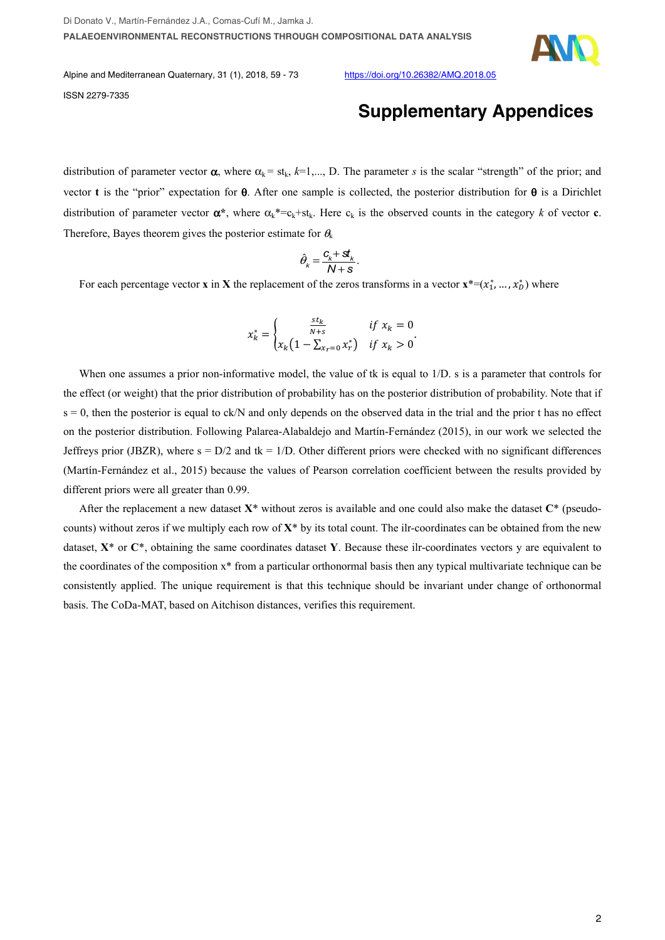

Alpine and Mediterranean Quaternary, 31 (1), 2018, 59 - 73 https://doi.org/10.26382/AMQ.2018.05 ISSN 2279-7335

# **Supplementary Appendices**

distribution of parameter vector  $\alpha$ , where  $\alpha_k = st_k$ ,  $k=1,..., D$ . The parameter *s* is the scalar "strength" of the prior; and vector **t** is the "prior" expectation for  $\theta$ . After one sample is collected, the posterior distribution for  $\theta$  is a Dirichlet distribution of parameter vector  $\alpha^*$ , where  $\alpha_k^* = c_k + st_k$ . Here  $c_k$  is the observed counts in the category *k* of vector **c**. Therefore, Bayes theorem gives the posterior estimate for  $\theta_k$ 

$$
\hat{\theta}_k = \frac{c_k + st_k}{N + s}.
$$

For each percentage vector **x** in **X** the replacement of the zeros transforms in a vector  $\mathbf{x}^*=(x_1^*,...,x_D^*)$  where

$$
x_k^* = \begin{cases} \frac{st_k}{N+s} & \text{if } x_k = 0\\ x_k \left(1 - \sum_{x_r = 0} x_r^*\right) & \text{if } x_k > 0 \end{cases}.
$$

When one assumes a prior non-informative model, the value of tk is equal to  $1/D$ , s is a parameter that controls for the effect (or weight) that the prior distribution of probability has on the posterior distribution of probability. Note that if  $s = 0$ , then the posterior is equal to ck/N and only depends on the observed data in the trial and the prior t has no effect on the posterior distribution. Following Palarea-Alabaldejo and Martín-Fernández (2015), in our work we selected the Jeffreys prior (JBZR), where  $s = D/2$  and tk = 1/D. Other different priors were checked with no significant differences (Martín-Fernández et al., 2015) because the values of Pearson correlation coefficient between the results provided by different priors were all greater than 0.99.

After the replacement a new dataset **X**\* without zeros is available and one could also make the dataset **C**\* (pseudocounts) without zeros if we multiply each row of **X**\* by its total count. The ilr-coordinates can be obtained from the new dataset, **X**\* or **C**\*, obtaining the same coordinates dataset **Y**. Because these ilr-coordinates vectors y are equivalent to the coordinates of the composition x\* from a particular orthonormal basis then any typical multivariate technique can be consistently applied. The unique requirement is that this technique should be invariant under change of orthonormal basis. The CoDa-MAT, based on Aitchison distances, verifies this requirement.